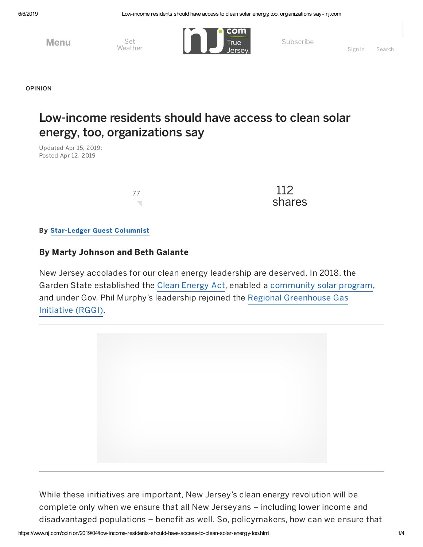6/6/2019 Low-income residents should have access to clean solar energy, too, organizations say- nj.com

**Menu** Set<br>Weather



Subscribe

[OPINION](https://www.nj.com/opinion)

## Low-income residents should have access to clean solar energy, too, organizations say

Updated Apr 15, 2019; Posted Apr 12, 2019



 $\frac{77}{2}$ shares

By [Star-Ledger](http://connect.nj.com/staff/njoslguest/posts.html) Guest Columnist

## By Marty Johnson and Beth Galante

New Jersey accolades for our clean energy leadership are deserved. In 2018, the Garden State established the Clean [Energy](https://www.njleg.state.nj.us/2018/Bills/PL18/17_.PDF) Act, enabled a [community](http://njcleanenergy.com/renewable-energy/programs/community-solar) solar program, and under Gov. Phil Murphy's leadership rejoined the Regional [Greenhouse](https://www.rggi.org/) Gas Initiative (RGGI).



While these initiatives are important, New Jersey's clean energy revolution will be complete only when we ensure that all New Jerseyans – including lower income and disadvantaged populations – benefit as well. So, policymakers, how can we ensure that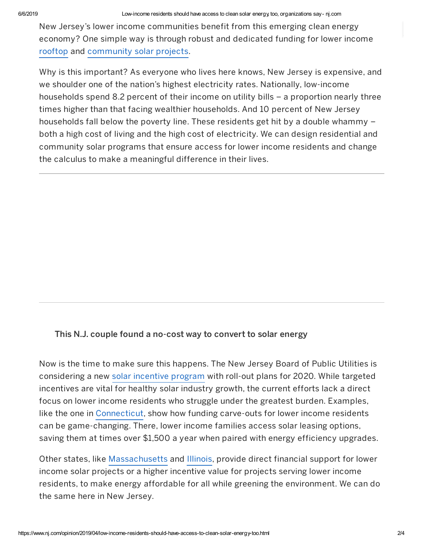New Jersey's lower income communities benefit from this emerging clean energy economy? One simple way is through robust and dedicated funding for lower income [rooftop](https://www.seia.org/initiative-topics/rooftop-solar) and [community](https://www.seia.org/initiatives/community-solar) solar projects.

Why is this important? As everyone who lives here knows, New Jersey is expensive, and we shoulder one of the nation's highest electricity rates. Nationally, low-income households spend 8.2 percent of their income on utility bills – a proportion nearly three times higher than that facing wealthier households. And 10 percent of New Jersey households fall below the poverty line. These residents get hit by a double whammy – both a high cost of living and the high cost of electricity. We can design residential and community solar programs that ensure access for lower income residents and change the calculus to make a meaningful difference in their lives.

## This N.J. couple found a no-cost way to [convert](https://www.nj.com/entertainment/2016/05/nj_home_makeover_gloucester_county_couple_updates.html) to solar energy

Now is the time to make sure this happens. The New Jersey Board of Public Utilities is considering a new solar [incentive](https://www.nj.gov/bpu/newsroom/2018/20181226.html) program with roll-out plans for 2020. While targeted incentives are vital for healthy solar industry growth, the current efforts lack a direct focus on lower income residents who struggle under the greatest burden. Examples, like the one in [Connecticut](https://greenbanknetwork.org/wp-content/uploads/2018/07/GB-TT-Connecticut-18-07-A_05-1.pdf), show how funding carve-outs for lower income residents can be game-changing. There, lower income families access solar leasing options, saving them at times over \$1,500 a year when paired with energy efficiency upgrades.

Other states, like [Massachusetts](https://www.mass.gov/files/documents/2018/04/26/Low%20Income%20Guideline%20042518.pdf) and [Illinois](https://www.illinoissfa.com/), provide direct financial support for lower income solar projects or a higher incentive value for projects serving lower income residents, to make energy affordable for all while greening the environment. We can do the same here in New Jersey.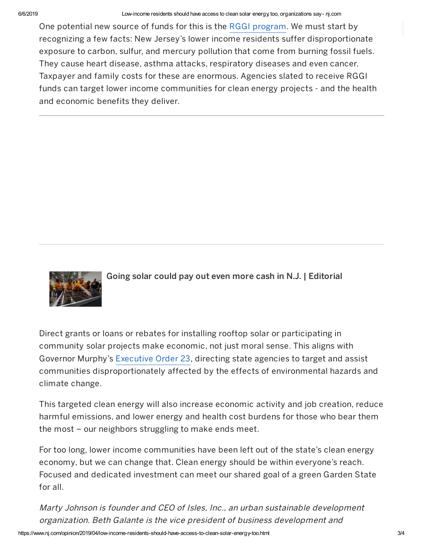## 6/6/2019 Low-income residents should have access to clean solar energy, too, organizations say- nj.com

One potential new source of funds for this is the RGGI [program](https://www.nj.gov/dep/rules/notices.html). We must start by recognizing a few facts: New Jersey's lower income residents suffer disproportionate exposure to carbon, sulfur, and mercury pollution that come from burning fossil fuels. They cause heart disease, asthma attacks, respiratory diseases and even cancer. Taxpayer and family costs for these are enormous. Agencies slated to receive RGGI funds can target lower income communities for clean energy projects - and the health and economic benefits they deliver.



Going solar could pay out even more cash in N.J. | [Editorial](https://www.nj.com/opinion/2018/02/going_solar_could_pay_out_even_more_cash_in_nj_edi.html)

Direct grants or loans or rebates for installing rooftop solar or participating in community solar projects make economic, not just moral sense. This aligns with Governor Murphy's [Executive](https://nj.gov/infobank/eo/056murphy/pdf/EO-7.pdf) Order 23, directing state agencies to target and assist communities disproportionately affected by the effects of environmental hazards and climate change.

This targeted clean energy will also increase economic activity and job creation, reduce harmful emissions, and lower energy and health cost burdens for those who bear them the most – our neighbors struggling to make ends meet.

For too long, lower income communities have been left out of the state's clean energy economy, but we can change that. Clean energy should be within everyone's reach. Focused and dedicated investment can meet our shared goal of a green Garden State for all.

Marty Johnson is founder and CEO of Isles, Inc., an urban sustainable development organization. Beth Galante is the vice president of business development and